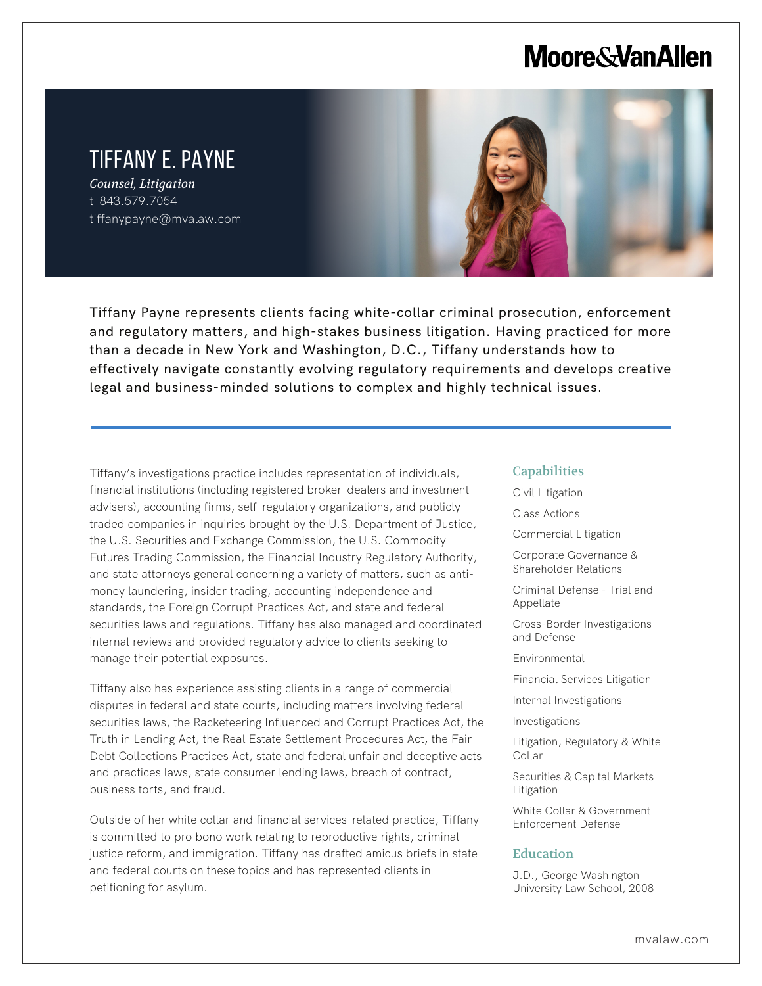# **Moore & Van Allen**

# TIFFANY E. PAYNE

*Counsel, Litigation* t 843.579.7054 tiffanypayne@mvalaw.com

l,



Tiffany Payne represents clients facing white-collar criminal prosecution, enforcement and regulatory matters, and high-stakes business litigation. Having practiced for more than a decade in New York and Washington, D.C., Tiffany understands how to effectively navigate constantly evolving regulatory requirements and develops creative legal and business-minded solutions to complex and highly technical issues.

Tiffany's investigations practice includes representation of individuals, financial institutions (including registered broker-dealers and investment advisers), accounting firms, self-regulatory organizations, and publicly traded companies in inquiries brought by the U.S. Department of Justice, the U.S. Securities and Exchange Commission, the U.S. Commodity Futures Trading Commission, the Financial Industry Regulatory Authority, and state attorneys general concerning a variety of matters, such as antimoney laundering, insider trading, accounting independence and standards, the Foreign Corrupt Practices Act, and state and federal securities laws and regulations. Tiffany has also managed and coordinated internal reviews and provided regulatory advice to clients seeking to manage their potential exposures.

Tiffany also has experience assisting clients in a range of commercial disputes in federal and state courts, including matters involving federal securities laws, the Racketeering Influenced and Corrupt Practices Act, the Truth in Lending Act, the Real Estate Settlement Procedures Act, the Fair Debt Collections Practices Act, state and federal unfair and deceptive acts and practices laws, state consumer lending laws, breach of contract, business torts, and fraud.

Outside of her white collar and financial services-related practice, Tiffany is committed to pro bono work relating to reproductive rights, criminal justice reform, and immigration. Tiffany has drafted amicus briefs in state and federal courts on these topics and has represented clients in petitioning for asylum.

#### **Capabilities**

Civil Litigation

Class Actions

Commercial Litigation

Corporate Governance & Shareholder Relations

Criminal Defense - Trial and Appellate

Cross-Border Investigations and Defense

Environmental

Financial Services Litigation

Internal Investigations

Investigations

Litigation, Regulatory & White Collar

Securities & Capital Markets Litigation

White Collar & Government Enforcement Defense

#### Education

J.D., George Washington University Law School, 2008